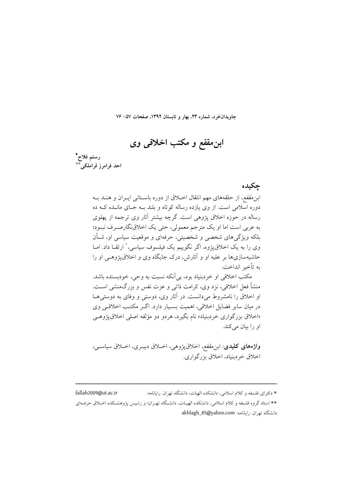جاویدانخرد، شماره ۲۳، بهار و تابستان ۱۳۹۲، صفحات ۵۷– ۷۶

ابنِ مقفع و مکتب اخلاقی وی



جكىدە

ابن مقفع، از حلقههای مهم انتقال اخـلاق از دوره باسـتانی ایـران و هنـد بـه دوره اسلامی است. از وی یازده رساله کوتاه و بلند بـه جـای مانـده کـه ده رساله در حوزه اخلاق پژوهی است. گرچه بیشتر آثار وی ترجمه از پهلوی به عربی است اما او یک مترجم معمولی، حتی یک اخلاق نگارصرف نبـود؛ بلکه ویژگی های شخصی و شخصیتی، حرفهای و موقعیت سیاسی او، شــأن وی را به یک اخلاق یژوه، اگر نگوییم یک فیلسوف سیاسی، ٰ ارتقــا داد. امــا حاشیهسازیها بر علیه او و آثارش، درک جایگاه وی و اخلاق یژوهبی او را به تأخير انداخت.

مکتب اخلاقي او خردبنياد بود، بي آنکه نسبت به وحي، خودبسنده باشد. منشأ فعل اخلاقی، نزد وی، کرامت ذاتی و عزت نفس و بزرگمنشی اسـت. او اخلاق را نامشروط می دانست. در آثار وی، دوستی و وفای به دوستی هـا در میان سایر فضایل اخلاقی، اهمیت بسـیار دارد. اگـر مکتـب اخلاقـی وی «اخلاق بزرگواری خردبنیاد» نام بگیرد، هردو دو مؤلفه اصلی اخلاق،یژوهـی او را بيان مي كند.

واژههای کلیدی: ابن مقفع، اخلاق یژوهی، اخـلاق دبیـری، اخـلاق سیاسـی، اخلاق خردبنياد، اخلاق بزرگواري.

fallah2009@ut.ac.ir \* دکترای فلسفه و کلام اسلامی، دانشکده الهیات، دانشگاه تهران. رایانامه: \*\* استاد گروه فلسفه و کلام اسلامی، دانشکده الهیـات، دانشـگاه تهـران؛ و رئـیس پژوهشـکده اخــلاق حرفــهای دانشگاه تهران. رایانامه: akhlagh\_85@yahoo.com